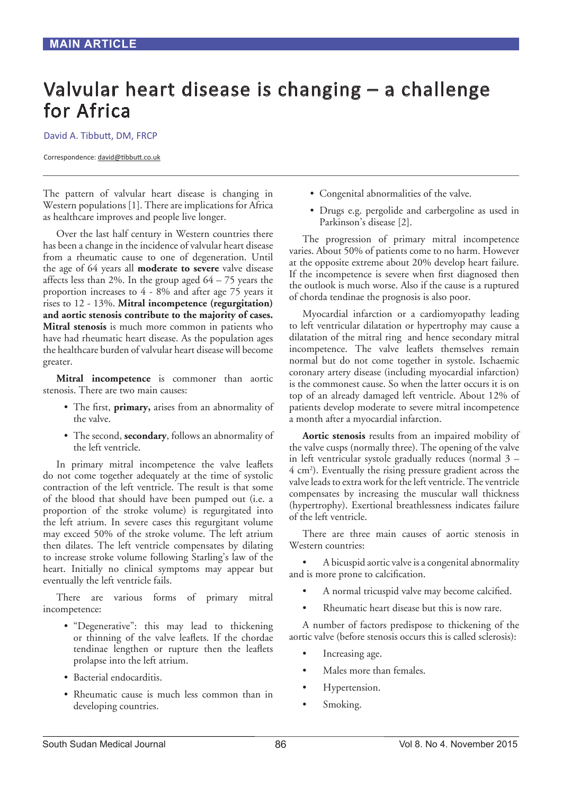# Valvular heart disease is changing – a challenge for Africa

David A. Tibbutt, DM, FRCP

Correspondence: david@tibbutt.co.uk

The pattern of valvular heart disease is changing in Western populations [1]. There are implications for Africa as healthcare improves and people live longer.

Over the last half century in Western countries there has been a change in the incidence of valvular heart disease from a rheumatic cause to one of degeneration. Until the age of 64 years all **moderate to severe** valve disease affects less than 2%. In the group aged  $64 - 75$  years the proportion increases to 4 - 8% and after age 75 years it rises to 12 - 13%. **Mitral incompetence (regurgitation) and aortic stenosis contribute to the majority of cases. Mitral stenosis** is much more common in patients who have had rheumatic heart disease. As the population ages the healthcare burden of valvular heart disease will become greater.

**Mitral incompetence** is commoner than aortic stenosis. There are two main causes:

- The first, **primary,** arises from an abnormality of the valve.
- The second, **secondary**, follows an abnormality of the left ventricle.

In primary mitral incompetence the valve leaflets do not come together adequately at the time of systolic contraction of the left ventricle. The result is that some of the blood that should have been pumped out (i.e. a proportion of the stroke volume) is regurgitated into the left atrium. In severe cases this regurgitant volume may exceed 50% of the stroke volume. The left atrium then dilates. The left ventricle compensates by dilating to increase stroke volume following Starling's law of the heart. Initially no clinical symptoms may appear but eventually the left ventricle fails.

There are various forms of primary mitral incompetence:

- "Degenerative": this may lead to thickening or thinning of the valve leaflets. If the chordae tendinae lengthen or rupture then the leaflets prolapse into the left atrium.
- Bacterial endocarditis.
- Rheumatic cause is much less common than in developing countries.
- Congenital abnormalities of the valve.
- Drugs e.g. pergolide and carbergoline as used in Parkinson's disease [2].

The progression of primary mitral incompetence varies. About 50% of patients come to no harm. However at the opposite extreme about 20% develop heart failure. If the incompetence is severe when first diagnosed then the outlook is much worse. Also if the cause is a ruptured of chorda tendinae the prognosis is also poor.

Myocardial infarction or a cardiomyopathy leading to left ventricular dilatation or hypertrophy may cause a dilatation of the mitral ring and hence secondary mitral incompetence. The valve leaflets themselves remain normal but do not come together in systole. Ischaemic coronary artery disease (including myocardial infarction) is the commonest cause. So when the latter occurs it is on top of an already damaged left ventricle. About 12% of patients develop moderate to severe mitral incompetence a month after a myocardial infarction.

**Aortic stenosis** results from an impaired mobility of the valve cusps (normally three). The opening of the valve in left ventricular systole gradually reduces (normal 3 – 4 cm2 ). Eventually the rising pressure gradient across the valve leads to extra work for the left ventricle. The ventricle compensates by increasing the muscular wall thickness (hypertrophy). Exertional breathlessness indicates failure of the left ventricle.

There are three main causes of aortic stenosis in Western countries:

• A bicuspid aortic valve is a congenital abnormality and is more prone to calcification.

- A normal tricuspid valve may become calcified.
- Rheumatic heart disease but this is now rare.

A number of factors predispose to thickening of the aortic valve (before stenosis occurs this is called sclerosis):

- Increasing age.
- Males more than females.
- Hypertension.
- Smoking.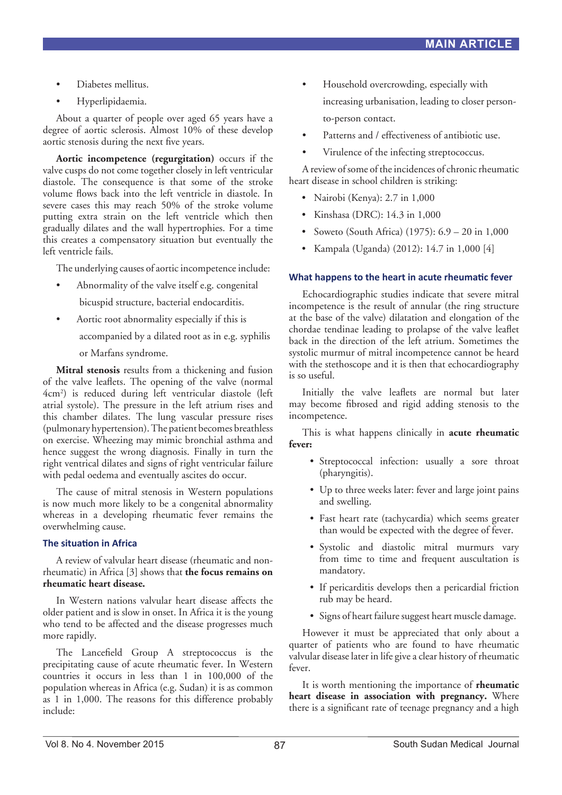- Diabetes mellitus.
- Hyperlipidaemia.

About a quarter of people over aged 65 years have a degree of aortic sclerosis. Almost 10% of these develop aortic stenosis during the next five years.

**Aortic incompetence (regurgitation)** occurs if the valve cusps do not come together closely in left ventricular diastole. The consequence is that some of the stroke volume flows back into the left ventricle in diastole. In severe cases this may reach 50% of the stroke volume putting extra strain on the left ventricle which then gradually dilates and the wall hypertrophies. For a time this creates a compensatory situation but eventually the left ventricle fails.

The underlying causes of aortic incompetence include:

- Abnormality of the valve itself e.g. congenital bicuspid structure, bacterial endocarditis.
- Aortic root abnormality especially if this is

accompanied by a dilated root as in e.g. syphilis

or Marfans syndrome.

**Mitral stenosis** results from a thickening and fusion of the valve leaflets. The opening of the valve (normal 4cm2 ) is reduced during left ventricular diastole (left atrial systole). The pressure in the left atrium rises and this chamber dilates. The lung vascular pressure rises (pulmonary hypertension). The patient becomes breathless on exercise. Wheezing may mimic bronchial asthma and hence suggest the wrong diagnosis. Finally in turn the right ventrical dilates and signs of right ventricular failure with pedal oedema and eventually ascites do occur.

The cause of mitral stenosis in Western populations is now much more likely to be a congenital abnormality whereas in a developing rheumatic fever remains the overwhelming cause.

## **The situation in Africa**

A review of valvular heart disease (rheumatic and nonrheumatic) in Africa [3] shows that **the focus remains on rheumatic heart disease.**

In Western nations valvular heart disease affects the older patient and is slow in onset. In Africa it is the young who tend to be affected and the disease progresses much more rapidly.

The Lancefield Group A streptococcus is the precipitating cause of acute rheumatic fever. In Western countries it occurs in less than 1 in 100,000 of the population whereas in Africa (e.g. Sudan) it is as common as 1 in 1,000. The reasons for this difference probably include:

- Household overcrowding, especially with increasing urbanisation, leading to closer personto-person contact.
- Patterns and / effectiveness of antibiotic use.
- Virulence of the infecting streptococcus.

A review of some of the incidences of chronic rheumatic heart disease in school children is striking:

- Nairobi (Kenya): 2.7 in 1,000
- Kinshasa (DRC): 14.3 in 1,000
- Soweto (South Africa) (1975): 6.9 20 in 1,000
- Kampala (Uganda) (2012): 14.7 in 1,000 [4]

## **What happens to the heart in acute rheumatic fever**

Echocardiographic studies indicate that severe mitral incompetence is the result of annular (the ring structure at the base of the valve) dilatation and elongation of the chordae tendinae leading to prolapse of the valve leaflet back in the direction of the left atrium. Sometimes the systolic murmur of mitral incompetence cannot be heard with the stethoscope and it is then that echocardiography is so useful.

Initially the valve leaflets are normal but later may become fibrosed and rigid adding stenosis to the incompetence.

This is what happens clinically in **acute rheumatic fever:**

- Streptococcal infection: usually a sore throat (pharyngitis).
- Up to three weeks later: fever and large joint pains and swelling.
- Fast heart rate (tachycardia) which seems greater than would be expected with the degree of fever.
- Systolic and diastolic mitral murmurs vary from time to time and frequent auscultation is mandatory.
- If pericarditis develops then a pericardial friction rub may be heard.
- Signs of heart failure suggest heart muscle damage.

However it must be appreciated that only about a quarter of patients who are found to have rheumatic valvular disease later in life give a clear history of rheumatic fever.

It is worth mentioning the importance of **rheumatic heart disease in association with pregnancy.** Where there is a significant rate of teenage pregnancy and a high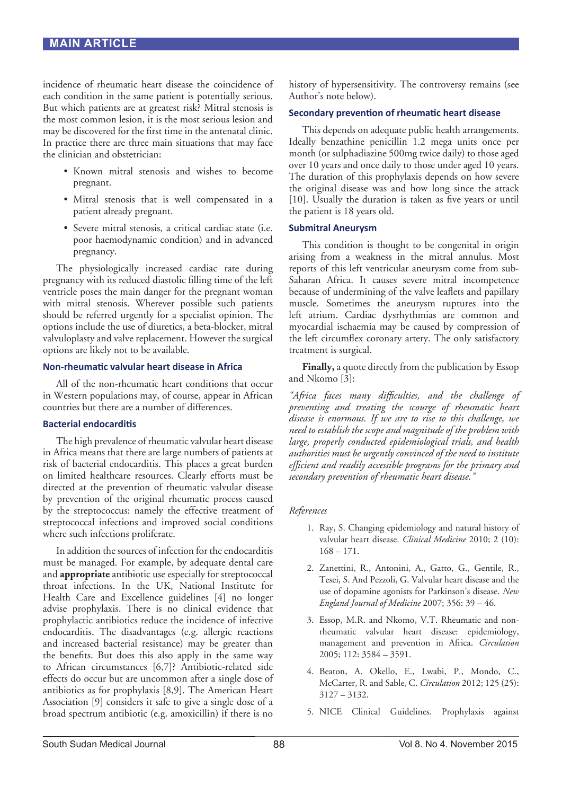incidence of rheumatic heart disease the coincidence of each condition in the same patient is potentially serious. But which patients are at greatest risk? Mitral stenosis is the most common lesion, it is the most serious lesion and may be discovered for the first time in the antenatal clinic. In practice there are three main situations that may face the clinician and obstetrician:

- Known mitral stenosis and wishes to become pregnant.
- Mitral stenosis that is well compensated in a patient already pregnant.
- Severe mitral stenosis, a critical cardiac state (i.e. poor haemodynamic condition) and in advanced pregnancy.

The physiologically increased cardiac rate during pregnancy with its reduced diastolic filling time of the left ventricle poses the main danger for the pregnant woman with mitral stenosis. Wherever possible such patients should be referred urgently for a specialist opinion. The options include the use of diuretics, a beta-blocker, mitral valvuloplasty and valve replacement. However the surgical options are likely not to be available.

#### **Non-rheumatic valvular heart disease in Africa**

All of the non-rheumatic heart conditions that occur in Western populations may, of course, appear in African countries but there are a number of differences.

#### **Bacterial endocarditis**

The high prevalence of rheumatic valvular heart disease in Africa means that there are large numbers of patients at risk of bacterial endocarditis. This places a great burden on limited healthcare resources. Clearly efforts must be directed at the prevention of rheumatic valvular disease by prevention of the original rheumatic process caused by the streptococcus: namely the effective treatment of streptococcal infections and improved social conditions where such infections proliferate.

In addition the sources of infection for the endocarditis must be managed. For example, by adequate dental care and **appropriate** antibiotic use especially for streptococcal throat infections. In the UK, National Institute for Health Care and Excellence guidelines [4] no longer advise prophylaxis. There is no clinical evidence that prophylactic antibiotics reduce the incidence of infective endocarditis. The disadvantages (e.g. allergic reactions and increased bacterial resistance) may be greater than the benefits. But does this also apply in the same way to African circumstances [6,7]? Antibiotic-related side effects do occur but are uncommon after a single dose of antibiotics as for prophylaxis [8,9]. The American Heart Association [9] considers it safe to give a single dose of a broad spectrum antibiotic (e.g. amoxicillin) if there is no

history of hypersensitivity. The controversy remains (see Author's note below).

#### **Secondary prevention of rheumatic heart disease**

This depends on adequate public health arrangements. Ideally benzathine penicillin 1.2 mega units once per month (or sulphadiazine 500mg twice daily) to those aged over 10 years and once daily to those under aged 10 years. The duration of this prophylaxis depends on how severe the original disease was and how long since the attack [10]. Usually the duration is taken as five years or until the patient is 18 years old.

#### **Submitral Aneurysm**

This condition is thought to be congenital in origin arising from a weakness in the mitral annulus. Most reports of this left ventricular aneurysm come from sub-Saharan Africa. It causes severe mitral incompetence because of undermining of the valve leaflets and papillary muscle. Sometimes the aneurysm ruptures into the left atrium. Cardiac dysrhythmias are common and myocardial ischaemia may be caused by compression of the left circumflex coronary artery. The only satisfactory treatment is surgical.

**Finally,** a quote directly from the publication by Essop and Nkomo [3]:

*"Africa faces many difficulties, and the challenge of preventing and treating the scourge of rheumatic heart disease is enormous. If we are to rise to this challenge, we need to establish the scope and magnitude of the problem with large, properly conducted epidemiological trials, and health authorities must be urgently convinced of the need to institute efficient and readily accessible programs for the primary and secondary prevention of rheumatic heart disease."* 

#### *References*

- 1. Ray, S. Changing epidemiology and natural history of valvular heart disease. *Clinical Medicine* 2010; 2 (10): 168 – 171.
- 2. Zanettini, R., Antonini, A., Gatto, G., Gentile, R., Tesei, S. And Pezzoli, G. Valvular heart disease and the use of dopamine agonists for Parkinson's disease. *New England Journal of Medicine* 2007; 356: 39 – 46.
- 3. Essop, M.R. and Nkomo, V.T. Rheumatic and nonrheumatic valvular heart disease: epidemiology, management and prevention in Africa. *Circulation*  2005; 112: 3584 – 3591.
- 4. Beaton, A. Okello, E., Lwabi, P., Mondo, C., McCarter, R. and Sable, C. *Circulation* 2012; 125 (25): 3127 – 3132.
- 5. NICE Clinical Guidelines. Prophylaxis against